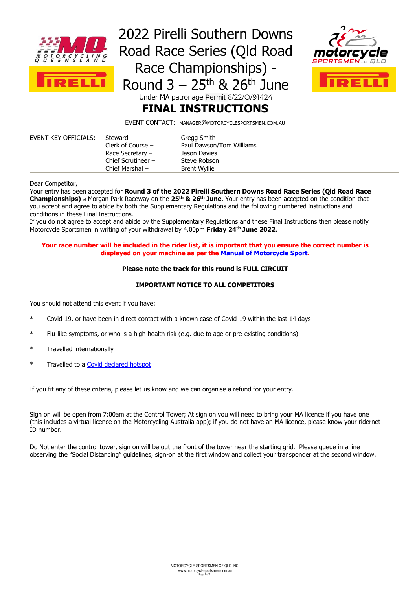

## 2022 Pirelli Southern Downs Road Race Series (Qld Road Race Championships) - Round  $3 - 25$ <sup>th</sup> & 26<sup>th</sup> June Under MA patronage Permit 6/22/O/91424



### **FINAL INSTRUCTIONS**

EVENT CONTACT: MANAGER@MOTORCYCLESPORTSMEN.COM.AU

| EVENT KEY OFFICIALS: | Steward $-$          | Gregg Smith              |
|----------------------|----------------------|--------------------------|
|                      | Clerk of Course $-$  | Paul Dawson/Tom Williams |
|                      | Race Secretary $-$   | Jason Davies             |
|                      | Chief Scrutineer $-$ | Steve Robson             |
|                      | Chief Marshal $-$    | <b>Brent Wyllie</b>      |

Dear Competitor,

Your entry has been accepted for **Round 3 of the 2022 Pirelli Southern Downs Road Race Series (Qld Road Race Championships)** at Morgan Park Raceway on the **25th & 26th June**. Your entry has been accepted on the condition that you accept and agree to abide by both the Supplementary Regulations and the following numbered instructions and conditions in these Final Instructions.

If you do not agree to accept and abide by the Supplementary Regulations and these Final Instructions then please notify Motorcycle Sportsmen in writing of your withdrawal by 4.00pm **Friday 24 th June 2022**.

#### **Your race number will be included in the rider list, it is important that you ensure the correct number is displayed on your machine as per the [Manual of Motorcycle Sport.](https://www.ma.org.au/licences-rules/rules/general-competition-rules/)**

#### **Please note the track for this round is FULL CIRCUIT**

#### **IMPORTANT NOTICE TO ALL COMPETITORS**

You should not attend this event if you have:

- \* Covid-19, or have been in direct contact with a known case of Covid-19 within the last 14 days
- Flu-like symptoms, or who is a high health risk (e.g. due to age or pre-existing conditions)
- Travelled internationally
- Travelled to a Covid [declared hotspot](https://www.vision6.com.au/ch/38941/jtg7h/2954523/000063ro9N1gzC5uy1k0phfEx2IT63yMasRGbcGR.html)

If you fit any of these criteria, please let us know and we can organise a refund for your entry.

Sign on will be open from 7:00am at the Control Tower; At sign on you will need to bring your MA licence if you have one (this includes a virtual licence on the Motorcycling Australia app); if you do not have an MA licence, please know your ridernet ID number.

Do Not enter the control tower, sign on will be out the front of the tower near the starting grid. Please queue in a line observing the "Social Distancing" guidelines, sign-on at the first window and collect your transponder at the second window.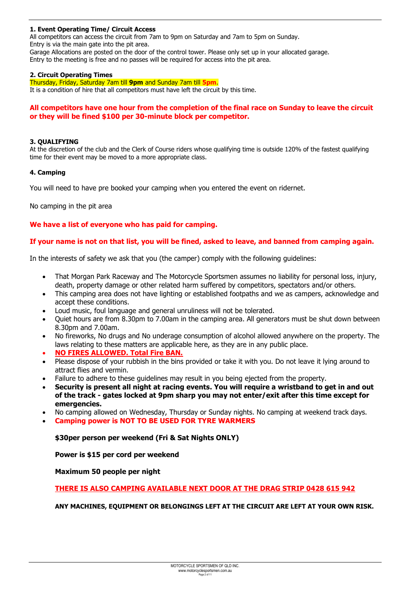#### **1. Event Operating Time/ Circuit Access**

All competitors can access the circuit from 7am to 9pm on Saturday and 7am to 5pm on Sunday. Entry is via the main gate into the pit area.

Garage Allocations are posted on the door of the control tower. Please only set up in your allocated garage. Entry to the meeting is free and no passes will be required for access into the pit area.

#### **2. Circuit Operating Times**

Thursday, Friday, Saturday 7am till **9pm** and Sunday 7am till **5pm**.

It is a condition of hire that all competitors must have left the circuit by this time.

#### **All competitors have one hour from the completion of the final race on Sunday to leave the circuit or they will be fined \$100 per 30-minute block per competitor.**

#### **3. QUALIFYING**

At the discretion of the club and the Clerk of Course riders whose qualifying time is outside 120% of the fastest qualifying time for their event may be moved to a more appropriate class.

#### **4. Camping**

You will need to have pre booked your camping when you entered the event on ridernet.

No camping in the pit area

#### **We have a list of everyone who has paid for camping.**

#### **If your name is not on that list, you will be fined, asked to leave, and banned from camping again.**

In the interests of safety we ask that you (the camper) comply with the following guidelines:

- That Morgan Park Raceway and The Motorcycle Sportsmen assumes no liability for personal loss, injury, death, property damage or other related harm suffered by competitors, spectators and/or others.
- This camping area does not have lighting or established footpaths and we as campers, acknowledge and accept these conditions.
- Loud music, foul language and general unruliness will not be tolerated.
- Quiet hours are from 8.30pm to 7.00am in the camping area. All generators must be shut down between 8.30pm and 7.00am.
- No fireworks, No drugs and No underage consumption of alcohol allowed anywhere on the property. The laws relating to these matters are applicable here, as they are in any public place.
- **NO FIRES ALLOWED. Total Fire BAN.**
- Please dispose of your rubbish in the bins provided or take it with you. Do not leave it lying around to attract flies and vermin.
- Failure to adhere to these guidelines may result in you being ejected from the property.
- **Security is present all night at racing events. You will require a wristband to get in and out of the track - gates locked at 9pm sharp you may not enter/exit after this time except for emergencies.**
- No camping allowed on Wednesday, Thursday or Sunday nights. No camping at weekend track days.
- **Camping power is NOT TO BE USED FOR TYRE WARMERS**

#### **\$30per person per weekend (Fri & Sat Nights ONLY)**

**Power is \$15 per cord per weekend**

#### **Maximum 50 people per night**

**THERE IS ALSO CAMPING AVAILABLE NEXT DOOR AT THE DRAG STRIP 0428 615 942**

**ANY MACHINES, EQUIPMENT OR BELONGINGS LEFT AT THE CIRCUIT ARE LEFT AT YOUR OWN RISK.**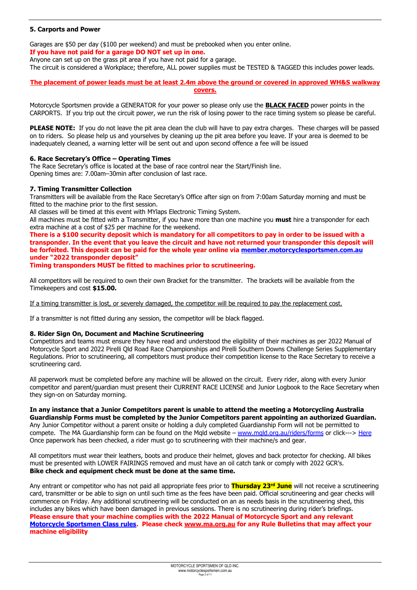#### **5. Carports and Power**

Garages are \$50 per day (\$100 per weekend) and must be prebooked when you enter online. **If you have not paid for a garage DO NOT set up in one.** 

Anyone can set up on the grass pit area if you have not paid for a garage.

The circuit is considered a Workplace; therefore, ALL power supplies must be TESTED & TAGGED this includes power leads.

#### **The placement of power leads must be at least 2.4m above the ground or covered in approved WH&S walkway covers.**

Motorcycle Sportsmen provide a GENERATOR for your power so please only use the **BLACK FACED** power points in the CARPORTS. If you trip out the circuit power, we run the risk of losing power to the race timing system so please be careful.

**PLEASE NOTE:** If you do not leave the pit area clean the club will have to pay extra charges. These charges will be passed on to riders. So please help us and yourselves by cleaning up the pit area before you leave. If your area is deemed to be inadequately cleaned, a warning letter will be sent out and upon second offence a fee will be issued

#### **6. Race Secretary's Office – Operating Times**

The Race Secretary's office is located at the base of race control near the Start/Finish line. Opening times are: 7.00am–30min after conclusion of last race.

#### **7. Timing Transmitter Collection**

Transmitters will be available from the Race Secretary's Office after sign on from 7:00am Saturday morning and must be fitted to the machine prior to the first session.

All classes will be timed at this event with MYlaps Electronic Timing System.

All machines must be fitted with a Transmitter, if you have more than one machine you **must** hire a transponder for each extra machine at a cost of \$25 per machine for the weekend.

**There is a \$100 security deposit which is mandatory for all competitors to pay in order to be issued with a transponder. In the event that you leave the circuit and have not returned your transponder this deposit will be forfeited. This deposit can be paid for the whole year online via [member.motorcyclesportsmen.com.au](http://www.member.motorcyclesportsmen.com.au/) under "2022 transponder deposit"**

**Timing transponders MUST be fitted to machines prior to scrutineering.**

All competitors will be required to own their own Bracket for the transmitter. The brackets will be available from the Timekeepers and cost **\$15.00.**

If a timing transmitter is lost, or severely damaged, the competitor will be required to pay the replacement cost.

If a transmitter is not fitted during any session, the competitor will be black flagged.

#### **8. Rider Sign On, Document and Machine Scrutineering**

Competitors and teams must ensure they have read and understood the eligibility of their machines as per 2022 Manual of Motorcycle Sport and 2022 Pirelli Qld Road Race Championships and Pirelli Southern Downs Challenge Series Supplementary Regulations. Prior to scrutineering, all competitors must produce their competition license to the Race Secretary to receive a scrutineering card.

All paperwork must be completed before any machine will be allowed on the circuit. Every rider, along with every Junior competitor and parent/guardian must present their CURRENT RACE LICENSE and Junior Logbook to the Race Secretary when they sign-on on Saturday morning.

**In any instance that a Junior Competitors parent is unable to attend the meeting a Motorcycling Australia Guardianship Forms must be completed by the Junior Competitors parent appointing an authorized Guardian.** Any Junior Competitor without a parent onsite or holding a duly completed Guardianship Form will not be permitted to compete. The MA Guardianship form can be found on the Mqld website – [www.mqld.org.au/riders/forms](http://www.mqld.org.au/riders/forms) or click---> [Here](https://drive.google.com/file/d/1oqnVZpyaIPZOfsmrXz_iVJzsvLj_VbmM/view) Once paperwork has been checked, a rider must go to scrutineering with their machine/s and gear.

All competitors must wear their leathers, boots and produce their helmet, gloves and back protector for checking. All bikes must be presented with LOWER FAIRINGS removed and must have an oil catch tank or comply with 2022 GCR's. **Bike check and equipment check must be done at the same time.**

Any entrant or competitor who has not paid all appropriate fees prior to **Thursday 23rd June** will not receive a scrutineering card, transmitter or be able to sign on until such time as the fees have been paid. Official scrutineering and gear checks will commence on Friday. Any additional scrutineering will be conducted on an as needs basis in the scrutineering shed, this includes any bikes which have been damaged in previous sessions. There is no scrutineering during rider's briefings. **Please ensure that your machine complies with the 2022 Manual of Motorcycle Sport and any relevant [Motorcycle Sportsmen Class rules.](http://www.motorcyclesportsmen.com.au/class-info.html) Please check [www.ma.org.au](http://www.ma.org.au/) for any Rule Bulletins that may affect your machine eligibility**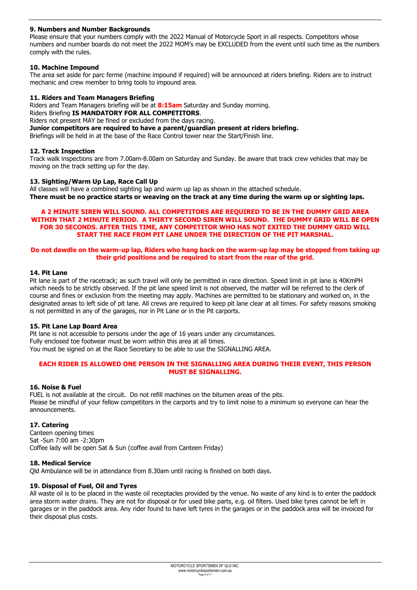#### **9. Numbers and Number Backgrounds**

Please ensure that your numbers comply with the 2022 Manual of Motorcycle Sport in all respects. Competitors whose numbers and number boards do not meet the 2022 MOM's may be EXCLUDED from the event until such time as the numbers comply with the rules.

#### **10. Machine Impound**

The area set aside for parc ferme (machine impound if required) will be announced at riders briefing. Riders are to instruct mechanic and crew member to bring tools to impound area.

#### **11. Riders and Team Managers Briefing**

Riders and Team Managers briefing will be at **8:15am** Saturday and Sunday morning.

- Riders Briefing **IS MANDATORY FOR ALL COMPETITORS**.
- Riders not present MAY be fined or excluded from the days racing.

**Junior competitors are required to have a parent/guardian present at riders briefing.**

Briefings will be held in at the base of the Race Control tower near the Start/Finish line.

#### **12. Track Inspection**

Track walk inspections are from 7.00am-8.00am on Saturday and Sunday. Be aware that track crew vehicles that may be moving on the track setting up for the day.

#### **13. Sighting/Warm Up Lap, Race Call Up**

All classes will have a combined sighting lap and warm up lap as shown in the attached schedule. **There must be no practice starts or weaving on the track at any time during the warm up or sighting laps.**

#### **A 2 MINUTE SIREN WILL SOUND. ALL COMPETITORS ARE REQUIRED TO BE IN THE DUMMY GRID AREA WITHIN THAT 2 MINUTE PERIOD. A THIRTY SECOND SIREN WILL SOUND. THE DUMMY GRID WILL BE OPEN FOR 30 SECONDS. AFTER THIS TIME, ANY COMPETITOR WHO HAS NOT EXITED THE DUMMY GRID WILL START THE RACE FROM PIT LANE UNDER THE DIRECTION OF THE PIT MARSHAL.**

#### **Do not dawdle on the warm-up lap, Riders who hang back on the warm-up lap may be stopped from taking up their grid positions and be required to start from the rear of the grid.**

#### **14. Pit Lane**

Pit lane is part of the racetrack; as such travel will only be permitted in race direction. Speed limit in pit lane is 40KmPH which needs to be strictly observed. If the pit lane speed limit is not observed, the matter will be referred to the clerk of course and fines or exclusion from the meeting may apply. Machines are permitted to be stationary and worked on, in the designated areas to left side of pit lane. All crews are required to keep pit lane clear at all times. For safety reasons smoking is not permitted in any of the garages, nor in Pit Lane or in the Pit carports.

#### **15. Pit Lane Lap Board Area**

Pit lane is not accessible to persons under the age of 16 years under any circumstances. Fully enclosed toe footwear must be worn within this area at all times. You must be signed on at the Race Secretary to be able to use the SIGNALLING AREA.

#### **EACH RIDER IS ALLOWED ONE PERSON IN THE SIGNALLING AREA DURING THEIR EVENT, THIS PERSON MUST BE SIGNALLING.**

#### **16. Noise & Fuel**

FUEL is not available at the circuit. Do not refill machines on the bitumen areas of the pits. Please be mindful of your fellow competitors in the carports and try to limit noise to a minimum so everyone can hear the announcements.

#### **17. Catering**

Canteen opening times Sat -Sun 7:00 am -2:30pm Coffee lady will be open Sat & Sun (coffee avail from Canteen Friday)

#### **18. Medical Service**

Qld Ambulance will be in attendance from 8.30am until racing is finished on both days.

#### **19. Disposal of Fuel, Oil and Tyres**

All waste oil is to be placed in the waste oil receptacles provided by the venue. No waste of any kind is to enter the paddock area storm water drains. They are not for disposal or for used bike parts, e.g. oil filters. Used bike tyres cannot be left in garages or in the paddock area. Any rider found to have left tyres in the garages or in the paddock area will be invoiced for their disposal plus costs.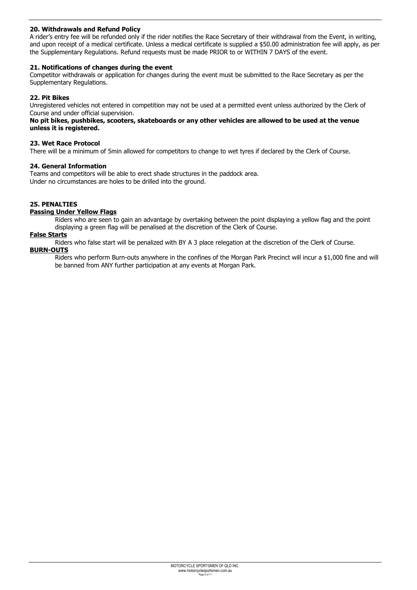#### **20. Withdrawals and Refund Policy**

A rider's entry fee will be refunded only if the rider notifies the Race Secretary of their withdrawal from the Event, in writing, and upon receipt of a medical certificate. Unless a medical certificate is supplied a \$50.00 administration fee will apply, as per the Supplementary Regulations. Refund requests must be made PRIOR to or WITHIN 7 DAYS of the event.

#### **21. Notifications of changes during the event**

Competitor withdrawals or application for changes during the event must be submitted to the Race Secretary as per the Supplementary Regulations.

#### **22. Pit Bikes**

Unregistered vehicles not entered in competition may not be used at a permitted event unless authorized by the Clerk of Course and under official supervision.

#### **No pit bikes, pushbikes, scooters, skateboards or any other vehicles are allowed to be used at the venue unless it is registered.**

#### **23. Wet Race Protocol**

There will be a minimum of 5min allowed for competitors to change to wet tyres if declared by the Clerk of Course.

#### **24. General Information**

Teams and competitors will be able to erect shade structures in the paddock area. Under no circumstances are holes to be drilled into the ground.

#### **25. PENALTIES**

#### **Passing Under Yellow Flags**

Riders who are seen to gain an advantage by overtaking between the point displaying a yellow flag and the point displaying a green flag will be penalised at the discretion of the Clerk of Course.

#### **False Starts**

Riders who false start will be penalized with BY A 3 place relegation at the discretion of the Clerk of Course. **BURN-OUTS**

Riders who perform Burn-outs anywhere in the confines of the Morgan Park Precinct will incur a \$1,000 fine and will be banned from ANY further participation at any events at Morgan Park.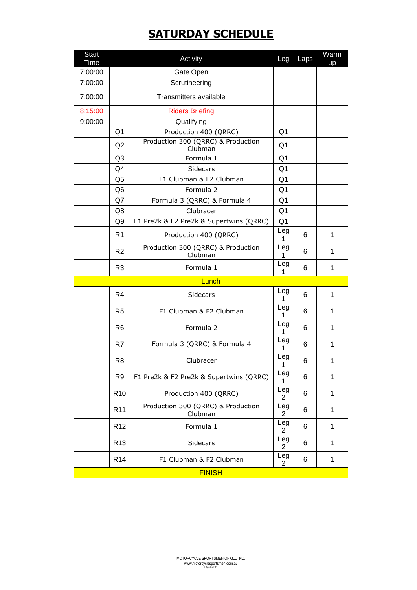### **SATURDAY SCHEDULE**

| <b>Start</b><br><b>Time</b> |                                                                                                       | Activity                                      | Leg                   | Laps | Warm<br>up   |
|-----------------------------|-------------------------------------------------------------------------------------------------------|-----------------------------------------------|-----------------------|------|--------------|
| 7:00:00                     |                                                                                                       | Gate Open                                     |                       |      |              |
| 7:00:00                     |                                                                                                       | Scrutineering                                 |                       |      |              |
| 7:00:00                     |                                                                                                       | Transmitters available                        |                       |      |              |
| 8:15:00                     |                                                                                                       | <b>Riders Briefing</b>                        |                       |      |              |
| 9:00:00                     |                                                                                                       | Qualifying                                    |                       |      |              |
|                             | Q <sub>1</sub>                                                                                        | Production 400 (QRRC)                         | Q <sub>1</sub>        |      |              |
|                             | Q2                                                                                                    | Production 300 (QRRC) & Production<br>Clubman | Q <sub>1</sub>        |      |              |
|                             | Q3                                                                                                    | Formula 1                                     | Q <sub>1</sub>        |      |              |
|                             | Q4                                                                                                    | Sidecars                                      | Q <sub>1</sub>        |      |              |
|                             | Q <sub>5</sub>                                                                                        | F1 Clubman & F2 Clubman                       | Q <sub>1</sub>        |      |              |
|                             | Q <sub>6</sub>                                                                                        | Formula 2                                     | Q1                    |      |              |
|                             | Q7                                                                                                    | Formula 3 (QRRC) & Formula 4                  | Q <sub>1</sub>        |      |              |
|                             | Q8                                                                                                    | Clubracer                                     | Q <sub>1</sub>        |      |              |
|                             | Q <sub>9</sub>                                                                                        | F1 Pre2k & F2 Pre2k & Supertwins (QRRC)       | Q <sub>1</sub>        |      |              |
|                             | R <sub>1</sub>                                                                                        | Production 400 (QRRC)                         |                       |      | 1            |
|                             | R <sub>2</sub>                                                                                        | Production 300 (QRRC) & Production<br>Clubman | Leg<br>1              | 6    | $\mathbf{1}$ |
|                             | R <sub>3</sub>                                                                                        | Formula 1                                     | Leg<br>1              | 6    | 1            |
|                             |                                                                                                       | Lunch                                         |                       |      |              |
|                             | R4                                                                                                    | Sidecars                                      | Leg<br>1              | 6    | 1            |
|                             | R <sub>5</sub>                                                                                        | F1 Clubman & F2 Clubman                       | Leg<br>1              | 6    | $\mathbf{1}$ |
|                             | R <sub>6</sub>                                                                                        | Formula 2                                     | Leg<br>1              | 6    | 1            |
|                             | R7                                                                                                    | Formula 3 (QRRC) & Formula 4                  | Leg<br>1              | 6    | 1            |
|                             | R <sub>8</sub>                                                                                        | Clubracer                                     | Leg<br>$\mathbf 1$    | 6    | 1            |
|                             | R <sub>9</sub><br>F1 Pre2k & F2 Pre2k & Supertwins (QRRC)<br>R <sub>10</sub><br>Production 400 (QRRC) |                                               | Leg<br>1              | 6    | $\mathbf{1}$ |
|                             |                                                                                                       |                                               | Leg<br>$\overline{c}$ | 6    | 1            |
|                             | Production 300 (QRRC) & Production<br>R <sub>11</sub><br>Clubman                                      |                                               | Leg<br>$\overline{2}$ | 6    | $\mathbf 1$  |
|                             | R <sub>12</sub>                                                                                       | Formula 1                                     |                       | 6    | 1            |
|                             | R <sub>13</sub>                                                                                       | Sidecars                                      |                       | 6    | 1            |
|                             | R <sub>14</sub>                                                                                       | F1 Clubman & F2 Clubman                       | Leg<br>2              | 6    | 1            |
|                             |                                                                                                       | <b>FINISH</b>                                 |                       |      |              |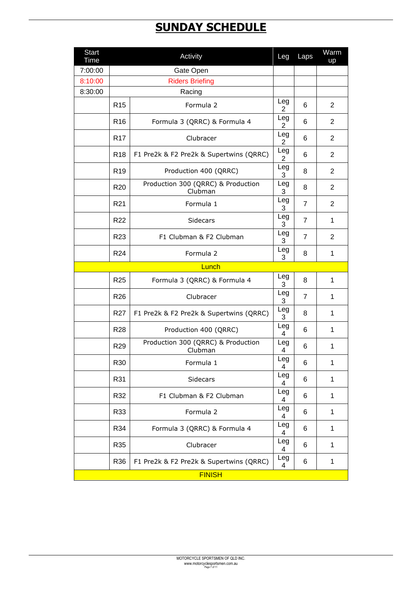### **SUNDAY SCHEDULE**

| <b>Start</b><br>Time |                 | Activity                                      | Leg                   | Laps           | Warm<br>up     |
|----------------------|-----------------|-----------------------------------------------|-----------------------|----------------|----------------|
| 7:00:00              |                 | Gate Open                                     |                       |                |                |
| 8:10:00              |                 | <b>Riders Briefing</b>                        |                       |                |                |
| 8:30:00              |                 | Racing                                        |                       |                |                |
|                      | R <sub>15</sub> | Formula 2                                     | Leg<br>$\overline{2}$ | 6              | $\overline{2}$ |
|                      | R <sub>16</sub> | Formula 3 (QRRC) & Formula 4                  | Leg<br>$\overline{2}$ | 6              | $\overline{2}$ |
|                      | R <sub>17</sub> | Clubracer                                     | Leg<br>$\overline{2}$ | 6              | $\overline{2}$ |
|                      | <b>R18</b>      | F1 Pre2k & F2 Pre2k & Supertwins (QRRC)       | Leg<br>$\overline{2}$ | 6              | $\overline{2}$ |
|                      | R <sub>19</sub> | Production 400 (QRRC)                         | Leg<br>3              | 8              | 2              |
|                      | R <sub>20</sub> | Production 300 (QRRC) & Production<br>Clubman | Leg<br>3              | 8              | $\overline{2}$ |
|                      | R <sub>21</sub> | Formula 1                                     | Leg<br>3              | $\overline{7}$ | $\overline{2}$ |
|                      | R <sub>22</sub> | <b>Sidecars</b>                               | Leg<br>3              | $\overline{7}$ | 1              |
|                      | R <sub>23</sub> | F1 Clubman & F2 Clubman                       | Leg<br>3              | $\overline{7}$ | $\overline{2}$ |
|                      | R24             | Formula 2                                     | Leg<br>3              | 8              | 1              |
|                      |                 |                                               |                       |                |                |
|                      | R <sub>25</sub> | Formula 3 (QRRC) & Formula 4                  | Leg<br>3              | 8              | 1              |
|                      | R <sub>26</sub> | Clubracer                                     | Leg<br>3              | $\overline{7}$ | $\mathbf{1}$   |
|                      | R <sub>27</sub> | F1 Pre2k & F2 Pre2k & Supertwins (QRRC)       | Leg<br>3              | 8              | $\mathbf{1}$   |
|                      | <b>R28</b>      | Production 400 (QRRC)                         | Leg<br>4              | 6              | 1              |
|                      | R <sub>29</sub> | Production 300 (QRRC) & Production<br>Clubman | Leg<br>4              | 6              | 1              |
|                      | R30             | Formula 1                                     | Leg<br>4              | $\,6$          | 1              |
|                      | R31             | Sidecars                                      | Leg<br>4              | 6              | 1              |
|                      | R32             | F1 Clubman & F2 Clubman                       | Leg<br>4              | 6              | 1              |
|                      | R33             | Formula 2                                     | Leg<br>4              | 6              | 1              |
|                      | R34             | Formula 3 (QRRC) & Formula 4                  | Leg<br>4              | 6              | 1              |
|                      | R35             | Clubracer                                     | Leg<br>4              | 6              | 1              |
|                      | R36             | F1 Pre2k & F2 Pre2k & Supertwins (QRRC)       | Leg<br>4              | 6              | 1              |
|                      |                 | <b>FINISH</b>                                 |                       |                |                |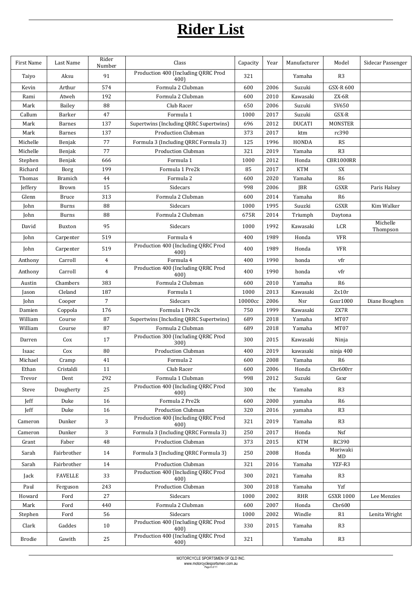# **Rider List**

| First Name | Last Name      | Rider<br>Number | Class                                       | Capacity | Year | Manufacturer  | Model               | Sidecar Passenger    |
|------------|----------------|-----------------|---------------------------------------------|----------|------|---------------|---------------------|----------------------|
| Taiyo      | Aksu           | 91              | Production 400 (Including QRRC Prod<br>400) | 321      |      | Yamaha        | R <sub>3</sub>      |                      |
| Kevin      | Arthur         | 574             | Formula 2 Clubman                           | 600      | 2006 | Suzuki        | GSX-R 600           |                      |
| Rami       | Atweh          | 192             | Formula 2 Clubman                           | 600      | 2010 | Kawasaki      | $ZX-6R$             |                      |
| Mark       | Bailey         | 88              | Club Racer                                  | 650      | 2006 | Suzuki        | SV650               |                      |
| Callum     | Barker         | 47              | Formula 1                                   | 1000     | 2017 | Suzuki        | GSX-R               |                      |
| Mark       | <b>Barnes</b>  | 137             | Supertwins (Including QRRC Supertwins)      | 696      | 2012 | <b>DUCATI</b> | <b>MONSTER</b>      |                      |
| Mark       | <b>Barnes</b>  | 137             | <b>Production Clubman</b>                   | 373      | 2017 | ktm           | rc390               |                      |
| Michelle   | Benjak         | 77              | Formula 3 (Including QRRC Formula 3)        | 125      | 1996 | <b>HONDA</b>  | <b>RS</b>           |                      |
| Michelle   | Benjak         | 77              | <b>Production Clubman</b>                   | 321      | 2019 | Yamaha        | R <sub>3</sub>      |                      |
| Stephen    | Benjak         | 666             | Formula 1                                   | 1000     | 2012 | Honda         | CBR1000RR           |                      |
| Richard    | Borg           | 199             | Formula 1 Pre2k                             | 85       | 2017 | <b>KTM</b>    | SX                  |                      |
| Thomas     | <b>Bramich</b> | 44              | Formula 2                                   | 600      | 2020 | Yamaha        | R <sub>6</sub>      |                      |
| Jeffery    | Brown          | 15              | Sidecars                                    | 998      | 2006 | <b>JBR</b>    | <b>GSXR</b>         | Paris Halsey         |
| Glenn      | <b>Bruce</b>   | 313             | Formula 2 Clubman                           | 600      | 2014 | Yamaha        | R <sub>6</sub>      |                      |
| John       | <b>Burns</b>   | 88              | Sidecars                                    | 1000     | 1995 | Suuzki        | GSXR                | Kim Walker           |
| John       | <b>Burns</b>   | 88              | Formula 2 Clubman                           | 675R     | 2014 | Triumph       | Daytona             |                      |
| David      | Buxton         | 95              | Sidecars                                    | 1000     | 1992 | Kawasaki      | LCR                 | Michelle<br>Thompson |
| John       | Carpenter      | 519             | Formula 4                                   | 400      | 1989 | Honda         | <b>VFR</b>          |                      |
| John       | Carpenter      | 519             | Production 400 (Including QRRC Prod<br>400) | 400      | 1989 | Honda         | <b>VFR</b>          |                      |
| Anthony    | Carroll        | $\overline{4}$  | Formula 4                                   | 400      | 1990 | honda         | vfr                 |                      |
| Anthony    | Carroll        | $\overline{4}$  | Production 400 (Including QRRC Prod<br>400) | 400      | 1990 | honda         | vfr                 |                      |
| Austin     | Chambers       | 383             | Formula 2 Clubman                           | 600      | 2010 | Yamaha        | R <sub>6</sub>      |                      |
| Jason      | Cleland        | 187             | Formula 1                                   | 1000     | 2013 | Kawasaki      | Zx10r               |                      |
| John       | Cooper         | $\overline{7}$  | Sidecars                                    | 10000cc  | 2006 | Nsr           | G <sub>ST1000</sub> | Diane Boughen        |
| Damien     | Coppola        | 176             | Formula 1 Pre2k                             | 750      | 1999 | Kawasaki      | ZX7R                |                      |
| William    | Course         | 87              | Supertwins (Including QRRC Supertwins)      | 689      | 2018 | Yamaha        | MT07                |                      |
| William    | Course         | 87              | Formula 2 Clubman                           | 689      | 2018 | Yamaha        | MT07                |                      |
| Darren     | Cox            | 17              | Production 300 (Including QRRC Prod<br>300) | 300      | 2015 | Kawasaki      | Ninja               |                      |
| Isaac      | Cox            | 80              | Production Clubman                          | 400      | 2019 | kawasaki      | ninja 400           |                      |
| Michael    | Cramp          | 41              | Formula 2                                   | 600      | 2008 | Yamaha        | R <sub>6</sub>      |                      |
| Ethan      | Cristaldi      | 11              | Club Racer                                  | 600      | 2006 | Honda         | Cbr600rr            |                      |
| Trevor     | Dent           | 292             | Formula 1 Clubman                           | 998      | 2012 | Suzuki        | Gsxr                |                      |
| Steve      | Dougherty      | 25              | Production 400 (Including QRRC Prod<br>400) | 300      | tbc  | Yamaha        | R <sub>3</sub>      |                      |
| Jeff       | Duke           | 16              | Formula 2 Pre2k                             | 600      | 2000 | yamaha        | R6                  |                      |
| Jeff       | Duke           | 16              | Production Clubman                          | 320      | 2016 | yamaha        | R <sub>3</sub>      |                      |
| Cameron    | Dunker         | 3               | Production 400 (Including QRRC Prod<br>400) | 321      | 2019 | Yamaha        | R3                  |                      |
| Cameron    | Dunker         | 3               | Formula 3 (Including QRRC Formula 3)        | 250      | 2017 | Honda         | Nsf                 |                      |
| Grant      | Faber          | 48              | <b>Production Clubman</b>                   | 373      | 2015 | <b>KTM</b>    | <b>RC390</b>        |                      |
| Sarah      | Fairbrother    | 14              | Formula 3 (Including QRRC Formula 3)        | 250      | 2008 | Honda         | Moriwaki<br>MD      |                      |
| Sarah      | Fairbrother    | 14              | Production Clubman                          | 321      | 2016 | Yamaha        | YZF-R3              |                      |
| Jack       | <b>FAVELLE</b> | 33              | Production 400 (Including QRRC Prod<br>400) | 300      | 2021 | Yamaha        | R <sub>3</sub>      |                      |
| Paul       | Ferguson       | 243             | Production Clubman                          | 300      | 2018 | Yamaha        | Yzf                 |                      |
| Howard     | Ford           | 27              | Sidecars                                    | 1000     | 2002 | <b>RHR</b>    | <b>GSXR 1000</b>    | Lee Menzies          |
| Mark       | Ford           | 440             | Formula 2 Clubman                           | 600      | 2007 | Honda         | Chr600              |                      |
| Stephen    | Ford           | 56              | Sidecars                                    | 1000     | 2002 | Windle        | R1                  | Lenita Wright        |
| Clark      | Gaddes         | 10              | Production 400 (Including QRRC Prod<br>400) | 330      | 2015 | Yamaha        | R <sub>3</sub>      |                      |
| Brodie     | Gawith         | 25              | Production 400 (Including QRRC Prod<br>400) | 321      |      | Yamaha        | R <sub>3</sub>      |                      |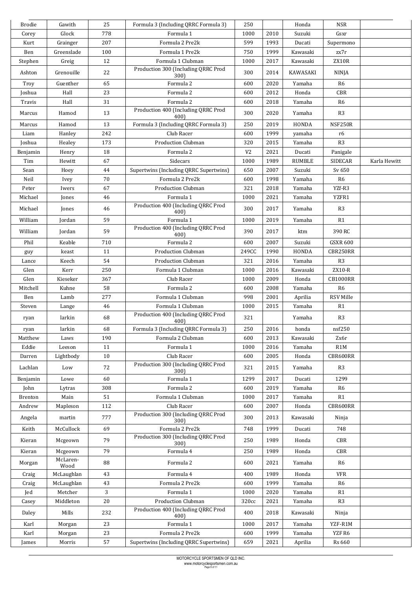| <b>Brodie</b>   | Gawith             | 25  | Formula 3 (Including QRRC Formula 3)        | 250            |      | Honda           | NSR              |              |
|-----------------|--------------------|-----|---------------------------------------------|----------------|------|-----------------|------------------|--------------|
| Corey           | Glock              | 778 | Formula 1                                   | 1000           | 2010 | Suzuki          | Gsxr             |              |
| Kurt            | Grainger           | 207 | Formula 2 Pre2k                             | 599            | 1993 | Ducati          | Supermono        |              |
| Ben             | Greenslade         | 100 | Formula 1 Pre2k                             | 750            | 1999 | Kawasaki        | zx7r             |              |
| Stephen         | Greig              | 12  | Formula 1 Clubman                           | 1000           | 2017 | Kawasaki        | ZX10R            |              |
| Ashton          | Grenouille         | 22  | Production 300 (Including QRRC Prod<br>300) | 300            | 2014 | KAWASAKI        | <b>NINJA</b>     |              |
| Troy            | Guenther           | 65  | Formula 2                                   | 600            | 2020 | Yamaha          | R <sub>6</sub>   |              |
| Joshua          | Hall               | 23  | Formula 2                                   | 600            | 2012 | Honda           | <b>CBR</b>       |              |
| Travis          | Hall               | 31  | Formula 2                                   | 600            | 2018 | Yamaha          | R <sub>6</sub>   |              |
| Marcus          | Hamod              | 13  | Production 400 (Including QRRC Prod<br>400) | 300            | 2020 | Yamaha          | R <sub>3</sub>   |              |
| Marcus          | Hamod              | 13  | Formula 3 (Including QRRC Formula 3)        | 250            | 2019 | <b>HONDA</b>    | NSF250R          |              |
| Liam            | Hanley             | 242 | Club Racer                                  | 600            | 1999 | yamaha          | r6               |              |
| Joshua          | Healey             | 173 | Production Clubman                          | 320            | 2015 | Yamaha          | R3               |              |
| Benjamin        | Henry              | 18  | Formula 2                                   | V <sub>2</sub> | 2021 | Ducati          | Panigale         |              |
| Tim             | Hewitt             | 67  | Sidecars                                    | 1000           | 1989 | <b>RUMBLE</b>   | SIDECAR          | Karla Hewitt |
| Sean            | Hoey               | 44  | Supertwins (Including QRRC Supertwins)      | 650            | 2007 | Suzuki          | Sv 650           |              |
| Neil            | Ivey               | 70  | Formula 2 Pre2k                             | 600            | 1998 | Yamaha          | R <sub>6</sub>   |              |
| Peter           | Iwers              | 67  | <b>Production Clubman</b>                   | 321            | 2018 | Yamaha          | YZf-R3           |              |
| Michael         | Jones              | 46  | Formula 1                                   | 1000           | 2021 | Yamaha          | YZFR1            |              |
| Michael         | Jones              | 46  | Production 400 (Including QRRC Prod<br>400) | 300            | 2017 | Yamaha          | R3               |              |
| William         | Jordan             | 59  | Formula 1                                   | 1000           | 2019 | Yamaha          | R1               |              |
| William         |                    |     | Production 400 (Including QRRC Prod         |                |      |                 |                  |              |
|                 | Jordan             | 59  | 400)                                        | 390            | 2017 | ktm             | 390 RC           |              |
| Phil            | Keable             | 710 | Formula 2                                   | 600            | 2007 | Suzuki          | <b>GSXR 600</b>  |              |
| guy             | keast              | 11  | <b>Production Clubman</b>                   | 249CC          | 1990 | HONDA           | CBR250RR         |              |
| Lance           | Keech              | 54  | <b>Production Clubman</b>                   | 321            | 2016 | Yamaha          | R <sub>3</sub>   |              |
| Glen            | Kerr               | 250 | Formula 1 Clubman                           | 1000           | 2016 | Kawasaki        | ZX10-R           |              |
| Glen            | Kieseker           | 367 | Club Racer                                  | 1000           | 2009 | Honda           | <b>CB1000RR</b>  |              |
| Mitchell        | Kuhne              | 58  | Formula 2                                   | 600            | 2008 | Yamaha          | R <sub>6</sub>   |              |
| Ben             | Lamb               | 277 | Formula 1 Clubman                           | 998            | 2001 | Aprilia         | RSV Mille        |              |
| Steven          | Lange              | 46  | Formula 1 Clubman                           | 1000           | 2015 | Yamaha          | R1               |              |
| ryan            | larkin             | 68  | Production 400 (Including QRRC Prod<br>400) | 321            |      | Yamaha          | R <sub>3</sub>   |              |
| ryan            | larkin             | 68  | Formula 3 (Including QRRC Formula 3)        | 250            | 2016 | honda           | nsf250           |              |
| Matthew         | Laws               | 190 | Formula 2 Clubman                           | 600            | 2013 | Kawasaki        | Zx6r             |              |
| Eddie           | Leeson             | 11  | Formula 1                                   | 1000           | 2016 | Yamaha          | R1M              |              |
| Darren          | Lightbody          | 10  | Club Racer                                  | 600            | 2005 | Honda           | CBR600RR         |              |
| Lachlan         | Low                | 72  | Production 300 (Including QRRC Prod<br>300) | 321            | 2015 | Yamaha          | R3               |              |
| Benjamin        | Lowe               | 60  | Formula 1                                   | 1299           | 2017 | Ducati          | 1299             |              |
| John            | Lytras             | 308 | Formula 2                                   | 600            | 2019 | Yamaha          | R6               |              |
| <b>Brenton</b>  | Main               | 51  | Formula 1 Clubman                           | 1000           | 2017 | Yamaha          | R1               |              |
| Andrew          | Mapleson           | 112 | Club Racer                                  | 600            | 2007 | Honda           | CBR600RR         |              |
| Angela          | martin             | 777 | Production 300 (Including QRRC Prod<br>300) | 300            | 2013 | Kawasaki        | Ninja            |              |
| Keith           | McCullock          | 69  | Formula 2 Pre2k                             | 748            | 1999 | Ducati          | 748              |              |
| Kieran          | Mcgeown            | 79  | Production 300 (Including QRRC Prod<br>300) | 250            | 1989 | Honda           | <b>CBR</b>       |              |
| Kieran          | Mcgeown            | 79  | Formula 4                                   | 250            | 1989 | Honda           | <b>CBR</b>       |              |
|                 | McLaren-           | 88  | Formula 2                                   | 600            | 2021 |                 |                  |              |
| Morgan<br>Craig | Wood<br>McLaughlan | 43  | Formula 4                                   | 400            | 1989 | Yamaha<br>Honda | R6<br><b>VFR</b> |              |
|                 | McLaughlan         | 43  | Formula 2 Pre2k                             | 600            | 1999 | Yamaha          | R <sub>6</sub>   |              |
| Craig           | Metcher            | 3   | Formula 1                                   | 1000           | 2020 | Yamaha          | R1               |              |
| Jed<br>Casey    | Middleton          | 20  | Production Clubman                          | 320cc          | 2021 | Yamaha          | R3               |              |
| Daley           | Mills              | 232 | Production 400 (Including QRRC Prod         | 400            | 2018 | Kawasaki        | Ninja            |              |
| Karl            | Morgan             | 23  | 400)<br>Formula 1                           | 1000           | 2017 | Yamaha          | YZF-R1M          |              |
| Karl            | Morgan             | 23  | Formula 2 Pre2k                             | 600            | 1999 | Yamaha          | YZF R6           |              |
|                 |                    |     |                                             |                |      |                 |                  |              |
| James           | Morris             | 57  | Supertwins (Including QRRC Supertwins)      | 659            | 2021 | Aprilia         | Rs 660           |              |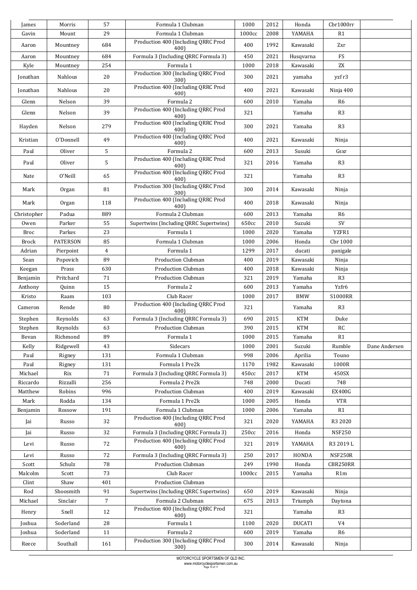| James        | Morris          | 57              | Formula 1 Clubman                           | 1000   | 2012 | Honda         | Chr1000rr                          |               |
|--------------|-----------------|-----------------|---------------------------------------------|--------|------|---------------|------------------------------------|---------------|
| Gavin        | Mount           | 29              | Formula 1 Clubman                           | 1000cc | 2008 | YAMAHA        | R1                                 |               |
| Aaron        | Mountney        | 684             | Production 400 (Including QRRC Prod<br>400) | 400    | 1992 | Kawasaki      | Zxr                                |               |
| Aaron        | Mountney        | 684             | Formula 3 (Including QRRC Formula 3)        | 450    | 2021 | Husqvarna     | ${\mathop{\mathrm {FS}}\nolimits}$ |               |
| Kyle         | Mountney        | 254             | Formula 1                                   | 1000   | 2018 | Kawasaki      | ZX                                 |               |
| Jonathan     | Nahlous         | 20              | Production 300 (Including QRRC Prod<br>300) | 300    | 2021 | yamaha        | yzf r3                             |               |
| Jonathan     | Nahlous         | 20              | Production 400 (Including QRRC Prod<br>400) | 400    | 2021 | Kawasaki      | Ninja 400                          |               |
| Glenn        | Nelson          | 39              | Formula 2                                   | 600    | 2010 | Yamaha        | R6                                 |               |
| Glenn        | Nelson          | 39              | Production 400 (Including QRRC Prod<br>400) | 321    |      | Yamaha        | R <sub>3</sub>                     |               |
| Hayden       | Nelson          | 279             | Production 400 (Including QRRC Prod<br>400) | 300    | 2021 | Yamaha        | R <sub>3</sub>                     |               |
| Kristian     | O'Donnell       | 49              | Production 400 (Including QRRC Prod<br>400) | 400    | 2021 | Kawasaki      | Ninja                              |               |
| Paul         | Oliver          | 5               | Formula 2                                   | 600    | 2013 | Susuki        | Gsxr                               |               |
| Paul         | Oliver          | 5               | Production 400 (Including QRRC Prod<br>400) | 321    | 2016 | Yamaha        | R <sub>3</sub>                     |               |
| Nate         | O'Neill         | 65              | Production 400 (Including QRRC Prod<br>400) | 321    |      | Yamaha        | R <sub>3</sub>                     |               |
| Mark         | Organ           | 81              | Production 300 (Including QRRC Prod<br>300) | 300    | 2014 | Kawasaki      | Ninja                              |               |
| Mark         | Organ           | 118             | Production 400 (Including QRRC Prod<br>400) | 400    | 2018 | Kawasaki      | Ninja                              |               |
| Christopher  | Padua           | 889             | Formula 2 Clubman                           | 600    | 2013 | Yamaha        | R <sub>6</sub>                     |               |
| Owen         | Parker          | 55              | Supertwins (Including QRRC Supertwins)      | 650cc  | 2010 | Suzuki        | $\mbox{SV}$                        |               |
| <b>Broc</b>  | Parkes          | 23              | Formula 1                                   | 1000   | 2020 | Yamaha        | YZFR1                              |               |
| <b>Brock</b> | <b>PATERSON</b> | 85              | Formula 1 Clubman                           | 1000   | 2006 | Honda         | Cbr 1000                           |               |
| Adrian       | Pierpoint       | $\overline{4}$  | Formula 1                                   | 1299   | 2017 | ducati        | panigale                           |               |
| Sean         | Popovich        | 89              | <b>Production Clubman</b>                   | 400    | 2019 | Kawasaki      | Ninja                              |               |
| Keegan       | Prass           | 630             | <b>Production Clubman</b>                   | 400    | 2018 | Kawasaki      | Ninja                              |               |
| Benjamin     | Pritchard       | 71              | Production Clubman                          | 321    | 2019 | Yamaha        | R <sub>3</sub>                     |               |
| Anthony      | Quinn           | 15              | Formula 2                                   | 600    | 2013 | Yamaha        | Yzfr6                              |               |
| Kristo       | Raam            | 103             | Club Racer                                  | 1000   | 2017 | <b>BMW</b>    | <b>S1000RR</b>                     |               |
| Cameron      | Rende           | 80              | Production 400 (Including QRRC Prod<br>400) | 321    |      | Yamaha        | R <sub>3</sub>                     |               |
| Stephen      | Reynolds        | 63              | Formula 3 (Including QRRC Formula 3)        | 690    | 2015 | <b>KTM</b>    | Duke                               |               |
| Stephen      | Reynolds        | 63              | <b>Production Clubman</b>                   | 390    | 2015 | <b>KTM</b>    | RC                                 |               |
| Bevan        | Richmond        | 89              | Formula 1                                   | 1000   | 2015 | Yamaha        | R1                                 |               |
| Kelly        | Ridgewell       | 43              | Sidecars                                    | 1000   | 2001 | Suzuki        | Rumble                             | Dane Andersen |
| Paul         | Rigney          | 131             | Formula 1 Clubman                           | 998    | 2006 | Aprilia       | Touno                              |               |
| Paul         | Rigney          | 131             | Formula 1 Pre2k                             | 1170   | 1982 | Kawasaki      | 1000R                              |               |
| Michael      | Rix             | 71              | Formula 3 (Including QRRC Formula 3)        | 450cc  | 2017 | <b>KTM</b>    | 450SX                              |               |
| Riccardo     | Rizzalli        | 256             | Formula 2 Pre2k                             | 748    | 2000 | Ducati        | 748                                |               |
| Matthew      | Robins          | 996             | Production Clubman                          | 400    | 2019 | Kawasaki      | <b>EX400G</b>                      |               |
| Mark         | Rodda           | 134             | Formula 1 Pre2k                             | 1000   | 2005 | Honda         | <b>VTR</b>                         |               |
| Benjamin     | Rossow          | 191             | Formula 1 Clubman                           | 1000   | 2006 | Yamaha        | R1                                 |               |
| Jai          | Russo           | 32              | Production 400 (Including QRRC Prod<br>400) | 321    | 2020 | YAMAHA        | R3 2020                            |               |
| Jai          | Russo           | 32              | Formula 3 (Including QRRC Formula 3)        | 250cc  | 2016 | Honda         | <b>NSF250</b>                      |               |
| Levi         | Russo           | 72              | Production 400 (Including QRRC Prod<br>400) | 321    | 2019 | YAMAHA        | R3 2019 L                          |               |
| Levi         | Russo           | 72              | Formula 3 (Including QRRC Formula 3)        | 250    | 2017 | HONDA         | NSF250R                            |               |
| Scott        | Schulz          | 78              | <b>Production Clubman</b>                   | 249    | 1990 | Honda         | CBR250RR                           |               |
| Malcolm      | Scott           | 73              | Club Racer                                  | 1000cc | 2015 | Yamaha        | R1m                                |               |
| Clint        | Shaw            | 401             | Production Clubman                          |        |      |               |                                    |               |
| Rod          | Shoosmith       | 91              | Supertwins (Including QRRC Supertwins)      | 650    | 2019 | Kawasaki      | Ninja                              |               |
| Michael      | Sinclair        | $7\overline{ }$ | Formula 2 Clubman                           | 675    | 2013 | Triumph       | Daytona                            |               |
| Henry        | Snell           | 12              | Production 400 (Including QRRC Prod<br>400) | 321    |      | Yamaha        | R3                                 |               |
| Joshua       | Soderland       | 28              | Formula 1                                   | 1100   | 2020 | <b>DUCATI</b> | V4                                 |               |
| Joshua       | Soderland       | 11              | Formula 2                                   | 600    | 2019 | Yamaha        | R <sub>6</sub>                     |               |
| Reece        | Southall        | 161             | Production 300 (Including QRRC Prod<br>300) | 300    | 2014 | Kawasaki      | Ninja                              |               |